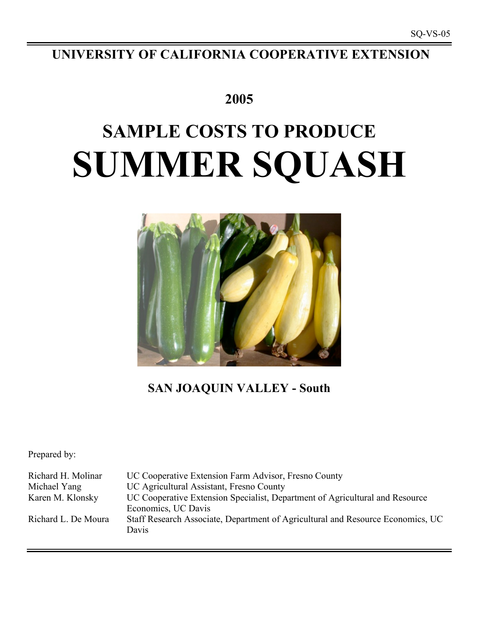# **UNIVERSITY OF CALIFORNIA COOPERATIVE EXTENSION**

# **2005**

# **SAMPLE COSTS TO PRODUCE SUMMER SQUASH**



# **SAN JOAQUIN VALLEY - South**

Prepared by:

Richard H. Molinar UC Cooperative Extension Farm Advisor, Fresno County Michael Yang UC Agricultural Assistant, Fresno County Karen M. Klonsky UC Cooperative Extension Specialist, Department of Agricultural and Resource Economics, UC Davis Richard L. De Moura Staff Research Associate, Department of Agricultural and Resource Economics, UC Davis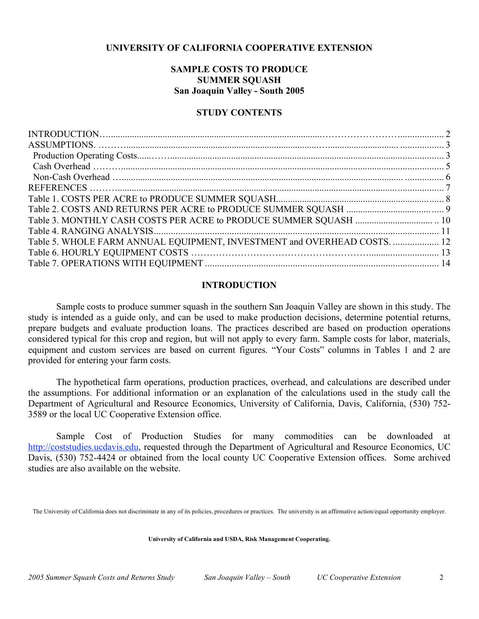# **UNIVERSITY OF CALIFORNIA COOPERATIVE EXTENSION**

# **SAMPLE COSTS TO PRODUCE SUMMER SQUASH San Joaquin Valley - South 2005**

# **STUDY CONTENTS**

| Table 5. WHOLE FARM ANNUAL EQUIPMENT, INVESTMENT and OVERHEAD COSTS.  12 |  |
|--------------------------------------------------------------------------|--|
|                                                                          |  |
|                                                                          |  |
|                                                                          |  |

## **INTRODUCTION**

Sample costs to produce summer squash in the southern San Joaquin Valley are shown in this study. The study is intended as a guide only, and can be used to make production decisions, determine potential returns, prepare budgets and evaluate production loans. The practices described are based on production operations considered typical for this crop and region, but will not apply to every farm. Sample costs for labor, materials, equipment and custom services are based on current figures. "Your Costs" columns in Tables 1 and 2 are provided for entering your farm costs.

The hypothetical farm operations, production practices, overhead, and calculations are described under the assumptions. For additional information or an explanation of the calculations used in the study call the Department of Agricultural and Resource Economics, University of California, Davis, California, (530) 752- 3589 or the local UC Cooperative Extension office.

Sample Cost of Production Studies for many commodities can be downloaded at http://coststudies.ucdavis.edu, requested through the Department of Agricultural and Resource Economics, UC Davis, (530) 752-4424 or obtained from the local county UC Cooperative Extension offices. Some archived studies are also available on the website.

The University of California does not discriminate in any of its policies, procedures or practices. The university is an affirmative action/equal opportunity employer.

**University of California and USDA, Risk Management Cooperating.**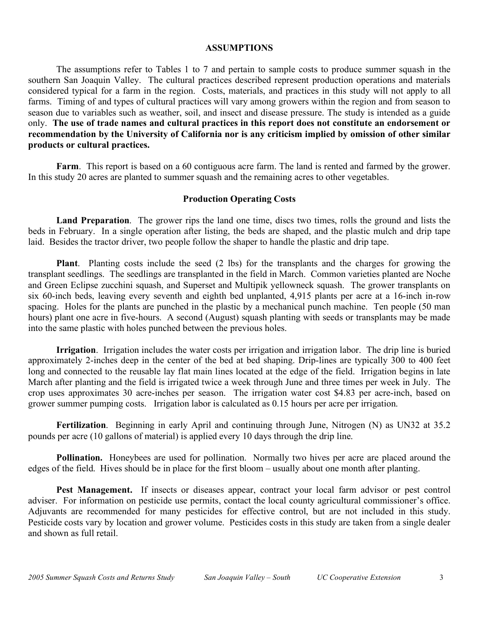### **ASSUMPTIONS**

The assumptions refer to Tables 1 to 7 and pertain to sample costs to produce summer squash in the southern San Joaquin Valley. The cultural practices described represent production operations and materials considered typical for a farm in the region. Costs, materials, and practices in this study will not apply to all farms. Timing of and types of cultural practices will vary among growers within the region and from season to season due to variables such as weather, soil, and insect and disease pressure. The study is intended as a guide only. **The use of trade names and cultural practices in this report does not constitute an endorsement or recommendation by the University of California nor is any criticism implied by omission of other similar products or cultural practices.**

**Farm**. This report is based on a 60 contiguous acre farm. The land is rented and farmed by the grower. In this study 20 acres are planted to summer squash and the remaining acres to other vegetables.

# **Production Operating Costs**

**Land Preparation**. The grower rips the land one time, discs two times, rolls the ground and lists the beds in February. In a single operation after listing, the beds are shaped, and the plastic mulch and drip tape laid. Besides the tractor driver, two people follow the shaper to handle the plastic and drip tape.

**Plant**. Planting costs include the seed (2 lbs) for the transplants and the charges for growing the transplant seedlings. The seedlings are transplanted in the field in March. Common varieties planted are Noche and Green Eclipse zucchini squash, and Superset and Multipik yellowneck squash. The grower transplants on six 60-inch beds, leaving every seventh and eighth bed unplanted, 4,915 plants per acre at a 16-inch in-row spacing. Holes for the plants are punched in the plastic by a mechanical punch machine. Ten people (50 man hours) plant one acre in five-hours. A second (August) squash planting with seeds or transplants may be made into the same plastic with holes punched between the previous holes.

**Irrigation**. Irrigation includes the water costs per irrigation and irrigation labor. The drip line is buried approximately 2-inches deep in the center of the bed at bed shaping. Drip-lines are typically 300 to 400 feet long and connected to the reusable lay flat main lines located at the edge of the field. Irrigation begins in late March after planting and the field is irrigated twice a week through June and three times per week in July. The crop uses approximates 30 acre-inches per season. The irrigation water cost \$4.83 per acre-inch, based on grower summer pumping costs. Irrigation labor is calculated as 0.15 hours per acre per irrigation.

**Fertilization**. Beginning in early April and continuing through June, Nitrogen (N) as UN32 at 35.2 pounds per acre (10 gallons of material) is applied every 10 days through the drip line.

**Pollination.** Honeybees are used for pollination. Normally two hives per acre are placed around the edges of the field. Hives should be in place for the first bloom – usually about one month after planting.

**Pest Management.** If insects or diseases appear, contract your local farm advisor or pest control adviser. For information on pesticide use permits, contact the local county agricultural commissioner's office. Adjuvants are recommended for many pesticides for effective control, but are not included in this study. Pesticide costs vary by location and grower volume. Pesticides costs in this study are taken from a single dealer and shown as full retail.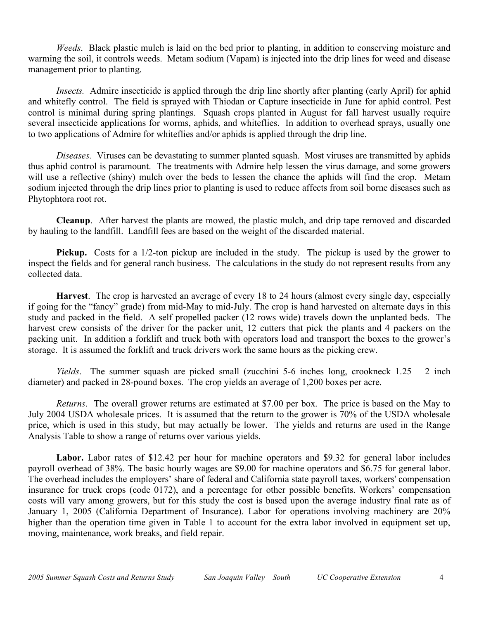*Weeds*. Black plastic mulch is laid on the bed prior to planting, in addition to conserving moisture and warming the soil, it controls weeds. Metam sodium (Vapam) is injected into the drip lines for weed and disease management prior to planting.

*Insects.* Admire insecticide is applied through the drip line shortly after planting (early April) for aphid and whitefly control. The field is sprayed with Thiodan or Capture insecticide in June for aphid control. Pest control is minimal during spring plantings. Squash crops planted in August for fall harvest usually require several insecticide applications for worms, aphids, and whiteflies. In addition to overhead sprays, usually one to two applications of Admire for whiteflies and/or aphids is applied through the drip line.

*Diseases.* Viruses can be devastating to summer planted squash. Most viruses are transmitted by aphids thus aphid control is paramount. The treatments with Admire help lessen the virus damage, and some growers will use a reflective (shiny) mulch over the beds to lessen the chance the aphids will find the crop. Metam sodium injected through the drip lines prior to planting is used to reduce affects from soil borne diseases such as Phytophtora root rot.

**Cleanup**. After harvest the plants are mowed, the plastic mulch, and drip tape removed and discarded by hauling to the landfill. Landfill fees are based on the weight of the discarded material.

**Pickup.** Costs for a 1/2-ton pickup are included in the study. The pickup is used by the grower to inspect the fields and for general ranch business. The calculations in the study do not represent results from any collected data.

**Harvest**. The crop is harvested an average of every 18 to 24 hours (almost every single day, especially if going for the "fancy" grade) from mid-May to mid-July. The crop is hand harvested on alternate days in this study and packed in the field. A self propelled packer (12 rows wide) travels down the unplanted beds. The harvest crew consists of the driver for the packer unit, 12 cutters that pick the plants and 4 packers on the packing unit. In addition a forklift and truck both with operators load and transport the boxes to the grower's storage. It is assumed the forklift and truck drivers work the same hours as the picking crew.

*Yields*. The summer squash are picked small (zucchini 5-6 inches long, crookneck 1.25 – 2 inch diameter) and packed in 28-pound boxes. The crop yields an average of 1,200 boxes per acre.

*Returns*. The overall grower returns are estimated at \$7.00 per box. The price is based on the May to July 2004 USDA wholesale prices. It is assumed that the return to the grower is 70% of the USDA wholesale price, which is used in this study, but may actually be lower. The yields and returns are used in the Range Analysis Table to show a range of returns over various yields.

**Labor.** Labor rates of \$12.42 per hour for machine operators and \$9.32 for general labor includes payroll overhead of 38%. The basic hourly wages are \$9.00 for machine operators and \$6.75 for general labor. The overhead includes the employers' share of federal and California state payroll taxes, workers' compensation insurance for truck crops (code 0172), and a percentage for other possible benefits. Workers' compensation costs will vary among growers, but for this study the cost is based upon the average industry final rate as of January 1, 2005 (California Department of Insurance). Labor for operations involving machinery are 20% higher than the operation time given in Table 1 to account for the extra labor involved in equipment set up, moving, maintenance, work breaks, and field repair.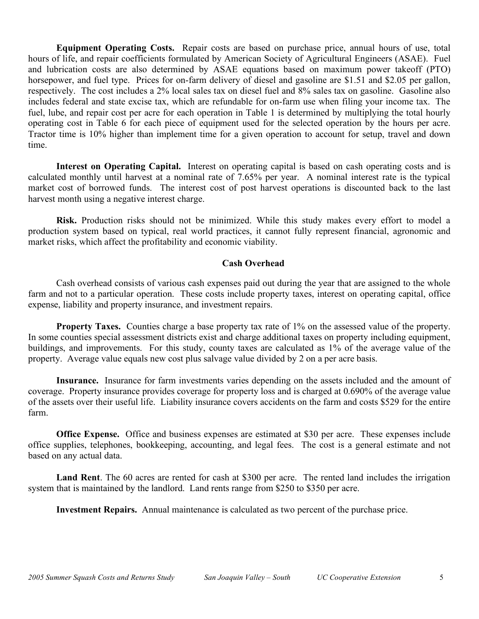**Equipment Operating Costs.** Repair costs are based on purchase price, annual hours of use, total hours of life, and repair coefficients formulated by American Society of Agricultural Engineers (ASAE). Fuel and lubrication costs are also determined by ASAE equations based on maximum power takeoff (PTO) horsepower, and fuel type. Prices for on-farm delivery of diesel and gasoline are \$1.51 and \$2.05 per gallon, respectively. The cost includes a 2% local sales tax on diesel fuel and 8% sales tax on gasoline. Gasoline also includes federal and state excise tax, which are refundable for on-farm use when filing your income tax. The fuel, lube, and repair cost per acre for each operation in Table 1 is determined by multiplying the total hourly operating cost in Table 6 for each piece of equipment used for the selected operation by the hours per acre. Tractor time is 10% higher than implement time for a given operation to account for setup, travel and down time.

**Interest on Operating Capital.** Interest on operating capital is based on cash operating costs and is calculated monthly until harvest at a nominal rate of 7.65% per year. A nominal interest rate is the typical market cost of borrowed funds. The interest cost of post harvest operations is discounted back to the last harvest month using a negative interest charge.

**Risk.** Production risks should not be minimized. While this study makes every effort to model a production system based on typical, real world practices, it cannot fully represent financial, agronomic and market risks, which affect the profitability and economic viability.

# **Cash Overhead**

Cash overhead consists of various cash expenses paid out during the year that are assigned to the whole farm and not to a particular operation. These costs include property taxes, interest on operating capital, office expense, liability and property insurance, and investment repairs.

**Property Taxes.** Counties charge a base property tax rate of 1% on the assessed value of the property. In some counties special assessment districts exist and charge additional taxes on property including equipment, buildings, and improvements. For this study, county taxes are calculated as 1% of the average value of the property. Average value equals new cost plus salvage value divided by 2 on a per acre basis.

**Insurance.** Insurance for farm investments varies depending on the assets included and the amount of coverage. Property insurance provides coverage for property loss and is charged at 0.690% of the average value of the assets over their useful life. Liability insurance covers accidents on the farm and costs \$529 for the entire farm.

**Office Expense.** Office and business expenses are estimated at \$30 per acre. These expenses include office supplies, telephones, bookkeeping, accounting, and legal fees. The cost is a general estimate and not based on any actual data.

**Land Rent**. The 60 acres are rented for cash at \$300 per acre. The rented land includes the irrigation system that is maintained by the landlord. Land rents range from \$250 to \$350 per acre.

**Investment Repairs.** Annual maintenance is calculated as two percent of the purchase price.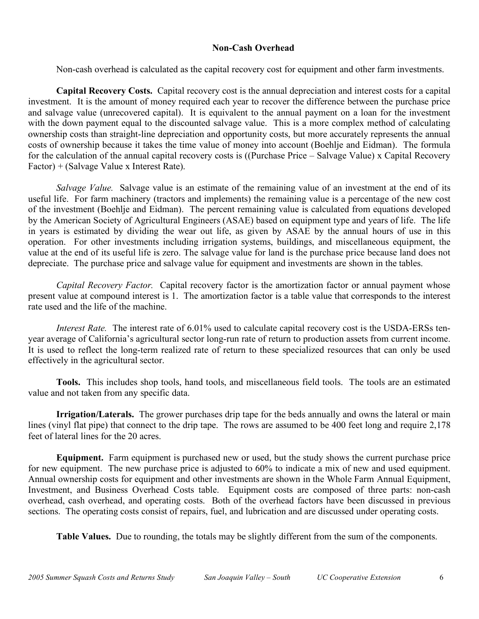# **Non-Cash Overhead**

Non-cash overhead is calculated as the capital recovery cost for equipment and other farm investments.

**Capital Recovery Costs.** Capital recovery cost is the annual depreciation and interest costs for a capital investment. It is the amount of money required each year to recover the difference between the purchase price and salvage value (unrecovered capital). It is equivalent to the annual payment on a loan for the investment with the down payment equal to the discounted salvage value. This is a more complex method of calculating ownership costs than straight-line depreciation and opportunity costs, but more accurately represents the annual costs of ownership because it takes the time value of money into account (Boehlje and Eidman). The formula for the calculation of the annual capital recovery costs is ((Purchase Price – Salvage Value) x Capital Recovery Factor) + (Salvage Value x Interest Rate).

*Salvage Value.* Salvage value is an estimate of the remaining value of an investment at the end of its useful life. For farm machinery (tractors and implements) the remaining value is a percentage of the new cost of the investment (Boehlje and Eidman). The percent remaining value is calculated from equations developed by the American Society of Agricultural Engineers (ASAE) based on equipment type and years of life. The life in years is estimated by dividing the wear out life, as given by ASAE by the annual hours of use in this operation. For other investments including irrigation systems, buildings, and miscellaneous equipment, the value at the end of its useful life is zero. The salvage value for land is the purchase price because land does not depreciate. The purchase price and salvage value for equipment and investments are shown in the tables.

*Capital Recovery Factor.* Capital recovery factor is the amortization factor or annual payment whose present value at compound interest is 1. The amortization factor is a table value that corresponds to the interest rate used and the life of the machine.

*Interest Rate.* The interest rate of 6.01% used to calculate capital recovery cost is the USDA-ERSs tenyear average of California's agricultural sector long-run rate of return to production assets from current income. It is used to reflect the long-term realized rate of return to these specialized resources that can only be used effectively in the agricultural sector.

**Tools.** This includes shop tools, hand tools, and miscellaneous field tools. The tools are an estimated value and not taken from any specific data.

**Irrigation/Laterals.** The grower purchases drip tape for the beds annually and owns the lateral or main lines (vinyl flat pipe) that connect to the drip tape. The rows are assumed to be 400 feet long and require 2,178 feet of lateral lines for the 20 acres.

**Equipment.** Farm equipment is purchased new or used, but the study shows the current purchase price for new equipment. The new purchase price is adjusted to 60% to indicate a mix of new and used equipment. Annual ownership costs for equipment and other investments are shown in the Whole Farm Annual Equipment, Investment, and Business Overhead Costs table. Equipment costs are composed of three parts: non-cash overhead, cash overhead, and operating costs. Both of the overhead factors have been discussed in previous sections. The operating costs consist of repairs, fuel, and lubrication and are discussed under operating costs.

**Table Values.** Due to rounding, the totals may be slightly different from the sum of the components.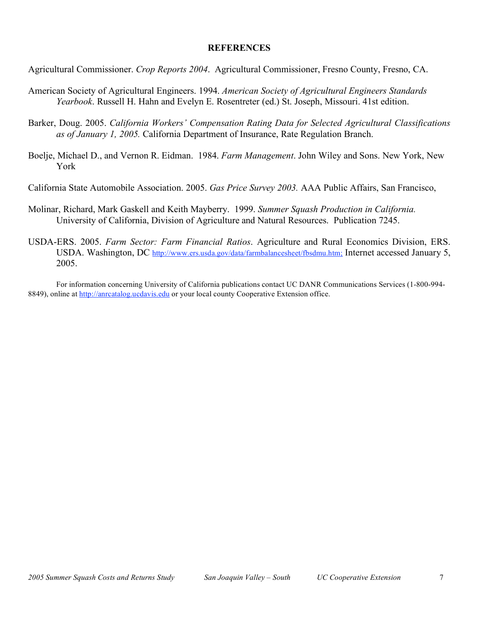## **REFERENCES**

- Agricultural Commissioner. *Crop Reports 2004*. Agricultural Commissioner, Fresno County, Fresno, CA.
- American Society of Agricultural Engineers. 1994. *American Society of Agricultural Engineers Standards Yearbook*. Russell H. Hahn and Evelyn E. Rosentreter (ed.) St. Joseph, Missouri. 41st edition.
- Barker, Doug. 2005. *California Workers' Compensation Rating Data for Selected Agricultural Classifications as of January 1, 2005.* California Department of Insurance, Rate Regulation Branch.
- Boelje, Michael D., and Vernon R. Eidman. 1984. *Farm Management*. John Wiley and Sons. New York, New York
- California State Automobile Association. 2005. *Gas Price Survey 2003.* AAA Public Affairs, San Francisco,
- Molinar, Richard, Mark Gaskell and Keith Mayberry. 1999. *Summer Squash Production in California.* University of California, Division of Agriculture and Natural Resources. Publication 7245.
- USDA-ERS. 2005. *Farm Sector: Farm Financial Ratios*. Agriculture and Rural Economics Division, ERS. USDA. Washington, DC http://www.ers.usda.gov/data/farmbalancesheet/fbsdmu.htm; Internet accessed January 5, 2005.

For information concerning University of California publications contact UC DANR Communications Services (1-800-994- 8849), online at http://anrcatalog.ucdavis.edu or your local county Cooperative Extension office.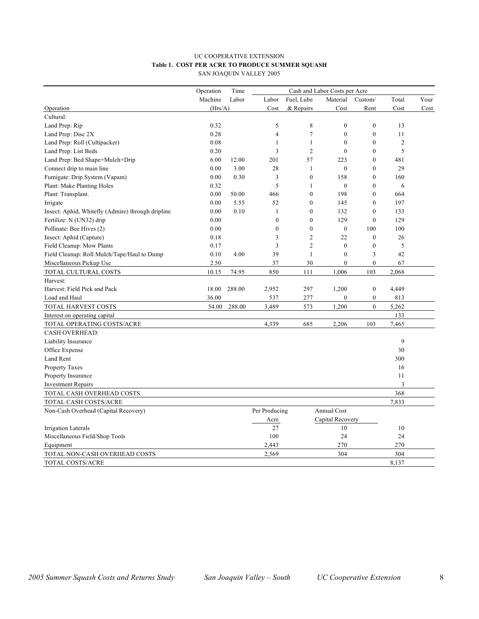#### UC COOPERATIVE EXTENSION **Table 1. COST PER ACRE TO PRODUCE SUMMER SQUASH** SAN JOAQUIN VALLEY 2005

|                                                   | Operation | Time   |                |                  | Cash and Labor Costs per Acre |                  |                |      |
|---------------------------------------------------|-----------|--------|----------------|------------------|-------------------------------|------------------|----------------|------|
|                                                   | Machine   | Labor  | Labor          | Fuel, Lube       | Material                      | Custom/          | Total          | Your |
| Operation                                         | (Hrs/A)   |        | Cost           | & Repairs        | Cost                          | Rent             | Cost           | Cost |
| Cultural:                                         |           |        |                |                  |                               |                  |                |      |
| Land Prep: Rip                                    | 0.32      |        | 5              | 8                | $\mathbf{0}$                  | $\boldsymbol{0}$ | 13             |      |
| Land Prep: Disc 2X                                | 0.28      |        | $\overline{4}$ | $\boldsymbol{7}$ | $\boldsymbol{0}$              | $\boldsymbol{0}$ | 11             |      |
| Land Prep: Roll (Cultipacker)                     | 0.08      |        | 1              | 1                | $\theta$                      | $\mathbf{0}$     | $\overline{2}$ |      |
| Land Prep: List Beds                              | 0.20      |        | 3              | $\overline{2}$   | $\theta$                      | $\mathbf{0}$     | 5              |      |
| Land Prep: Bed Shape+Mulch+Drip                   | 6.00      | 12.00  | 201            | 57               | 223                           | $\boldsymbol{0}$ | 481            |      |
| Connect drip to main line                         | 0.00      | 3.00   | 28             | 1                | $\mathbf{0}$                  | $\mathbf{0}$     | 29             |      |
| Fumigate: Drip System (Vapam)                     | 0.00      | 0.30   | 3              | $\boldsymbol{0}$ | 158                           | $\mathbf{0}$     | 160            |      |
| Plant: Make Planting Holes                        | 0.32      |        | 5              | 1                | $\theta$                      | $\theta$         | 6              |      |
| Plant: Transplant.                                | 0.00      | 50.00  | 466            | $\overline{0}$   | 198                           | $\mathbf{0}$     | 664            |      |
| Irrigate                                          | 0.00      | 5.55   | 52             | $\mathbf{0}$     | 145                           | $\mathbf{0}$     | 197            |      |
| Insect: Aphid, Whitefly (Admire) through dripline | 0.00      | 0.10   | $\mathbf{1}$   | $\mathbf{0}$     | 132                           | $\mathbf{0}$     | 133            |      |
| Fertilize: N (UN32) drip                          | 0.00      |        | $\overline{0}$ | $\mathbf{0}$     | 129                           | $\mathbf{0}$     | 129            |      |
| Pollinate: Bee Hives (2)                          | 0.00      |        | $\mathbf{0}$   | $\mathbf{0}$     | $\mathbf{0}$                  | 100              | 100            |      |
| Insect: Aphid (Capture)                           | 0.18      |        | 3              | $\overline{c}$   | 22                            | $\mathbf{0}$     | 26             |      |
| Field Cleanup: Mow Plants                         | 0.17      |        | 3              | $\overline{2}$   | $\mathbf{0}$                  | $\boldsymbol{0}$ | 5              |      |
| Field Cleanup: Roll Mulch/Tape/Haul to Dump       | 0.10      | 4.00   | 39             | 1                | $\mathbf{0}$                  | 3                | 42             |      |
| Miscellaneous Pickup Use                          | 2.50      |        | 37             | 30               | $\mathbf{0}$                  | $\overline{0}$   | 67             |      |
| TOTAL CULTURAL COSTS                              | 10.15     | 74.95  | 850            | 111              | 1,006                         | 103              | 2,068          |      |
| Harvest:                                          |           |        |                |                  |                               |                  |                |      |
| Harvest: Field Pick and Pack                      | 18.00     | 288.00 | 2,952          | 297              | 1,200                         | $\boldsymbol{0}$ | 4,449          |      |
| Load and Haul                                     | 36.00     |        | 537            | 277              | $\boldsymbol{0}$              | $\boldsymbol{0}$ | 813            |      |
| TOTAL HARVEST COSTS                               | 54.00     | 288.00 | 3,489          | 573              | 1,200                         | $\overline{0}$   | 5,262          |      |
| Interest on operating capital                     |           |        |                |                  |                               |                  | 133            |      |
| TOTAL OPERATING COSTS/ACRE                        |           |        | 4,339          | 685              | 2,206                         | 103              | 7,465          |      |
| <b>CASH OVERHEAD:</b>                             |           |        |                |                  |                               |                  |                |      |
| Liability Insurance                               |           |        |                |                  |                               |                  | 9              |      |
| Office Expense                                    |           |        |                |                  |                               |                  | 30             |      |
| Land Rent                                         |           |        |                |                  |                               |                  | 300            |      |
| Property Taxes                                    |           |        |                |                  |                               |                  | 16             |      |
| Property Insurance                                |           |        |                |                  |                               |                  | 11             |      |
| <b>Investment Repairs</b>                         |           |        |                |                  |                               |                  | 3              |      |
| TOTAL CASH OVERHEAD COSTS                         |           |        |                |                  |                               |                  | 368            |      |
| TOTAL CASH COSTS/ACRE                             |           |        |                |                  |                               |                  | 7,833          |      |
| Non-Cash Overhead (Capital Recovery)              |           |        | Per Producing  |                  | <b>Annual Cost</b>            |                  |                |      |
|                                                   |           |        | Acre           |                  | Capital Recovery              |                  |                |      |
| Irrigation Laterals                               |           |        | 27             |                  | 10                            |                  | 10             |      |
| Miscellaneous Field/Shop Tools                    |           |        | 100            |                  | 24                            |                  | 24             |      |
| Equipment                                         |           |        | 2,443          |                  | 270                           |                  | 270            |      |
| TOTAL NON-CASH OVERHEAD COSTS                     |           |        | 2,569          |                  | 304                           |                  | 304            |      |
| TOTAL COSTS/ACRE                                  |           |        |                |                  |                               |                  | 8,137          |      |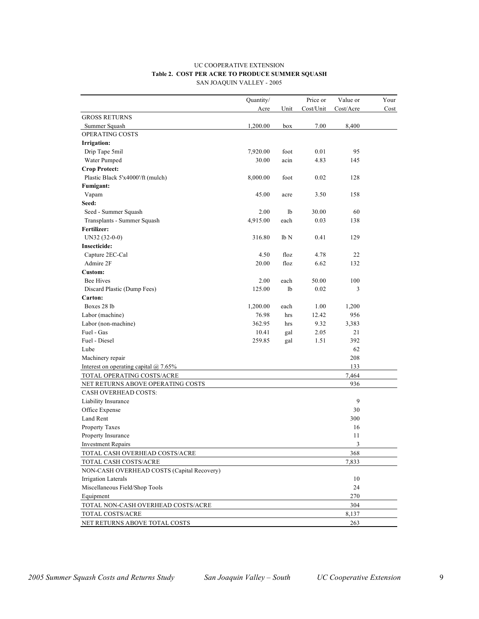#### UC COOPERATIVE EXTENSION **Table 2. COST PER ACRE TO PRODUCE SUMMER SQUASH** SAN JOAQUIN VALLEY - 2005

|                                              | Quantity/ |      | Price or  | Value or   | Your |
|----------------------------------------------|-----------|------|-----------|------------|------|
|                                              | Acre      | Unit | Cost/Unit | Cost/Acre  | Cost |
| <b>GROSS RETURNS</b>                         |           |      |           |            |      |
| Summer Squash                                | 1,200.00  | box  | 7.00      | 8,400      |      |
| OPERATING COSTS                              |           |      |           |            |      |
| Irrigation:                                  |           |      |           |            |      |
| Drip Tape 5mil                               | 7,920.00  | foot | 0.01      | 95         |      |
| Water Pumped                                 | 30.00     | acin | 4.83      | 145        |      |
| <b>Crop Protect:</b>                         |           |      |           |            |      |
| Plastic Black 5'x4000'/ft (mulch)            | 8,000.00  | foot | 0.02      | 128        |      |
| Fumigant:                                    |           |      |           |            |      |
| Vapam                                        | 45.00     | acre | 3.50      | 158        |      |
| Seed:                                        |           |      |           |            |      |
| Seed - Summer Squash                         | 2.00      | lb   | 30.00     | 60         |      |
| Transplants - Summer Squash                  | 4,915.00  | each | 0.03      | 138        |      |
| Fertilizer:                                  |           |      |           |            |      |
| $UN32 (32-0-0)$                              | 316.80    | lb N | 0.41      | 129        |      |
| <b>Insecticide:</b>                          |           |      |           |            |      |
| Capture 2EC-Cal                              | 4.50      | floz | 4.78      | 22         |      |
| Admire 2F                                    | 20.00     | floz | 6.62      | 132        |      |
| Custom:                                      |           |      |           |            |      |
| <b>Bee Hives</b>                             | 2.00      | each | 50.00     | 100        |      |
| Discard Plastic (Dump Fees)                  | 125.00    | lb   | 0.02      | 3          |      |
| Carton:                                      |           |      |           |            |      |
| Boxes 28 lb                                  | 1,200.00  | each | 1.00      | 1,200      |      |
| Labor (machine)                              | 76.98     | hrs  | 12.42     | 956        |      |
| Labor (non-machine)                          | 362.95    | hrs  | 9.32      | 3,383      |      |
| Fuel - Gas                                   | 10.41     | gal  | 2.05      | 21         |      |
| Fuel - Diesel                                | 259.85    | gal  | 1.51      | 392        |      |
| Lube                                         |           |      |           | 62         |      |
| Machinery repair                             |           |      |           | 208        |      |
| Interest on operating capital $\omega$ 7.65% |           |      |           | 133        |      |
| TOTAL OPERATING COSTS/ACRE                   |           |      |           | 7,464      |      |
| NET RETURNS ABOVE OPERATING COSTS            |           |      |           | 936        |      |
| CASH OVERHEAD COSTS:                         |           |      |           |            |      |
| Liability Insurance                          |           |      |           | 9          |      |
| Office Expense                               |           |      |           | 30         |      |
| Land Rent                                    |           |      |           | 300        |      |
| Property Taxes                               |           |      |           | 16         |      |
| Property Insurance                           |           |      |           | 11         |      |
| <b>Investment Repairs</b>                    |           |      |           | $\sqrt{3}$ |      |
| TOTAL CASH OVERHEAD COSTS/ACRE               |           |      |           | 368        |      |
| TOTAL CASH COSTS/ACRE                        |           |      |           | 7,833      |      |
| NON-CASH OVERHEAD COSTS (Capital Recovery)   |           |      |           |            |      |
| Irrigation Laterals                          |           |      |           | 10         |      |
| Miscellaneous Field/Shop Tools               |           |      |           | 24         |      |
| Equipment                                    |           |      |           | 270        |      |
| TOTAL NON-CASH OVERHEAD COSTS/ACRE           |           |      |           | 304        |      |
| TOTAL COSTS/ACRE                             |           |      |           | 8,137      |      |
| NET RETURNS ABOVE TOTAL COSTS                |           |      |           | 263        |      |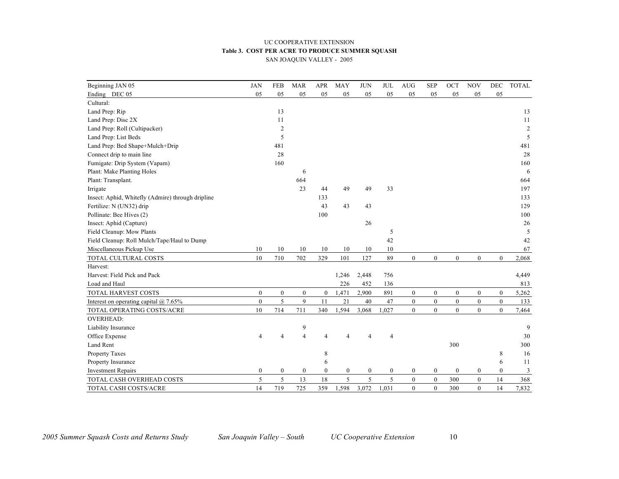#### UC COOPERATIVE EXTENSION **Table 3. COST PER ACRE TO PRODUCE SUMMER SQUASH** SAN JOAQUIN VALLEY - 2005

| Beginning JAN 05                                  | <b>JAN</b>   | <b>FEB</b>       | <b>MAR</b>       | <b>APR</b>       | <b>MAY</b>     | <b>JUN</b>       | <b>JUL</b>       | <b>AUG</b>       | <b>SEP</b>       | OCT              | <b>NOV</b>       | DEC          | <b>TOTAL</b>   |
|---------------------------------------------------|--------------|------------------|------------------|------------------|----------------|------------------|------------------|------------------|------------------|------------------|------------------|--------------|----------------|
| Ending DEC 05                                     | 05           | 05               | 05               | 05               | 05             | 05               | 05               | 05               | 05               | 05               | 05               | 05           |                |
| Cultural:                                         |              |                  |                  |                  |                |                  |                  |                  |                  |                  |                  |              |                |
| Land Prep: Rip                                    |              | 13               |                  |                  |                |                  |                  |                  |                  |                  |                  |              | 13             |
| Land Prep: Disc 2X                                |              | 11               |                  |                  |                |                  |                  |                  |                  |                  |                  |              | 11             |
| Land Prep: Roll (Cultipacker)                     |              | $\overline{c}$   |                  |                  |                |                  |                  |                  |                  |                  |                  |              | $\overline{c}$ |
| Land Prep: List Beds                              |              | 5                |                  |                  |                |                  |                  |                  |                  |                  |                  |              | 5              |
| Land Prep: Bed Shape+Mulch+Drip                   |              | 481              |                  |                  |                |                  |                  |                  |                  |                  |                  |              | 481            |
| Connect drip to main line                         |              | 28               |                  |                  |                |                  |                  |                  |                  |                  |                  |              | 28             |
| Fumigate: Drip System (Vapam)                     |              | 160              |                  |                  |                |                  |                  |                  |                  |                  |                  |              | 160            |
| Plant: Make Planting Holes                        |              |                  | 6                |                  |                |                  |                  |                  |                  |                  |                  |              | 6              |
| Plant: Transplant.                                |              |                  | 664              |                  |                |                  |                  |                  |                  |                  |                  |              | 664            |
| Irrigate                                          |              |                  | 23               | 44               | 49             | 49               | 33               |                  |                  |                  |                  |              | 197            |
| Insect: Aphid, Whitefly (Admire) through dripline |              |                  |                  | 133              |                |                  |                  |                  |                  |                  |                  |              | 133            |
| Fertilize: N (UN32) drip                          |              |                  |                  | 43               | 43             | 43               |                  |                  |                  |                  |                  |              | 129            |
| Pollinate: Bee Hives (2)                          |              |                  |                  | 100              |                |                  |                  |                  |                  |                  |                  |              | 100            |
| Insect: Aphid (Capture)                           |              |                  |                  |                  |                | 26               |                  |                  |                  |                  |                  |              | 26             |
| Field Cleanup: Mow Plants                         |              |                  |                  |                  |                |                  | 5                |                  |                  |                  |                  |              | 5              |
| Field Cleanup: Roll Mulch/Tape/Haul to Dump       |              |                  |                  |                  |                |                  | 42               |                  |                  |                  |                  |              | 42             |
| Miscellaneous Pickup Use                          | 10           | 10               | 10               | 10               | 10             | 10               | 10               |                  |                  |                  |                  |              | 67             |
| TOTAL CULTURAL COSTS                              | 10           | 710              | 702              | 329              | 101            | 127              | 89               | $\overline{0}$   | $\boldsymbol{0}$ | $\boldsymbol{0}$ | $\overline{0}$   | $\theta$     | 2,068          |
| Harvest:                                          |              |                  |                  |                  |                |                  |                  |                  |                  |                  |                  |              |                |
| Harvest: Field Pick and Pack                      |              |                  |                  |                  | 1,246          | 2,448            | 756              |                  |                  |                  |                  |              | 4,449          |
| Load and Haul                                     |              |                  |                  |                  | 226            | 452              | 136              |                  |                  |                  |                  |              | 813            |
| TOTAL HARVEST COSTS                               | $\mathbf{0}$ | $\boldsymbol{0}$ | $\boldsymbol{0}$ | $\mathbf{0}$     | 1,471          | 2,900            | 891              | $\overline{0}$   | $\boldsymbol{0}$ | $\boldsymbol{0}$ | $\boldsymbol{0}$ | $\mathbf{0}$ | 5,262          |
| Interest on operating capital $\omega$ 7.65%      | $\mathbf{0}$ | 5                | 9                | 11               | 21             | 40               | 47               | $\overline{0}$   | $\boldsymbol{0}$ | $\boldsymbol{0}$ | $\mathbf{0}$     | $\mathbf{0}$ | 133            |
| TOTAL OPERATING COSTS/ACRE                        | 10           | 714              | 711              | 340              | 1,594          | 3,068            | 1,027            | $\overline{0}$   | $\boldsymbol{0}$ | $\boldsymbol{0}$ | $\boldsymbol{0}$ | $\mathbf{0}$ | 7,464          |
| <b>OVERHEAD:</b>                                  |              |                  |                  |                  |                |                  |                  |                  |                  |                  |                  |              |                |
| Liability Insurance                               |              |                  | 9                |                  |                |                  |                  |                  |                  |                  |                  |              | 9              |
| Office Expense                                    | 4            |                  | $\overline{4}$   | $\overline{A}$   | 4              | $\overline{4}$   | $\overline{4}$   |                  |                  |                  |                  |              | 30             |
| Land Rent                                         |              |                  |                  |                  |                |                  |                  |                  |                  | 300              |                  |              | 300            |
| Property Taxes                                    |              |                  |                  | 8                |                |                  |                  |                  |                  |                  |                  | 8            | 16             |
| Property Insurance                                |              |                  |                  | 6                |                |                  |                  |                  |                  |                  |                  | 6            | 11             |
| <b>Investment Repairs</b>                         | $\bf{0}$     | $\boldsymbol{0}$ | $\boldsymbol{0}$ | $\boldsymbol{0}$ | $\overline{0}$ | $\boldsymbol{0}$ | $\boldsymbol{0}$ | $\boldsymbol{0}$ | $\boldsymbol{0}$ | $\boldsymbol{0}$ | $\boldsymbol{0}$ | $\mathbf{0}$ | 3              |
| TOTAL CASH OVERHEAD COSTS                         | 5            | 5                | 13               | 18               | 5              | 5                | 5                | $\boldsymbol{0}$ | $\boldsymbol{0}$ | 300              | $\boldsymbol{0}$ | 14           | 368            |
| TOTAL CASH COSTS/ACRE                             | 14           | 719              | 725              | 359              | 1,598          | 3,072            | 1.031            | $\theta$         | $\theta$         | 300              | $\theta$         | 14           | 7,832          |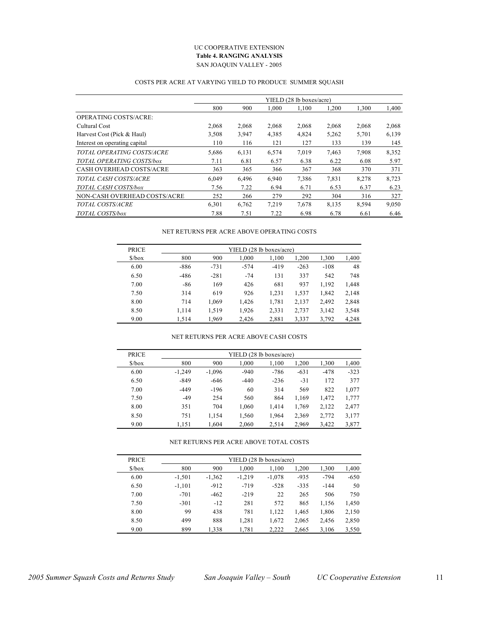#### UC COOPERATIVE EXTENSION **Table 4. RANGING ANALYSIS** SAN JOAQUIN VALLEY - 2005

### COSTS PER ACRE AT VARYING YIELD TO PRODUCE SUMMER SQUASH

|                                 |       |       |       | YIELD (28 lb boxes/acre) |       |       |       |
|---------------------------------|-------|-------|-------|--------------------------|-------|-------|-------|
|                                 | 800   | 900   | 1,000 | 1,100                    | 1,200 | 1,300 | 1,400 |
| <b>OPERATING COSTS/ACRE:</b>    |       |       |       |                          |       |       |       |
| Cultural Cost                   | 2,068 | 2,068 | 2,068 | 2,068                    | 2,068 | 2,068 | 2,068 |
| Harvest Cost (Pick & Haul)      | 3,508 | 3,947 | 4,385 | 4,824                    | 5,262 | 5,701 | 6,139 |
| Interest on operating capital   | 110   | 116   | 121   | 127                      | 133   | 139   | 145   |
| TOTAL OPERATING COSTS/ACRE      | 5,686 | 6,131 | 6,574 | 7,019                    | 7,463 | 7.908 | 8,352 |
| TOTAL OPERATING COSTS/box       | 7.11  | 6.81  | 6.57  | 6.38                     | 6.22  | 6.08  | 5.97  |
| <b>CASH OVERHEAD COSTS/ACRE</b> | 363   | 365   | 366   | 367                      | 368   | 370   | 371   |
| TOTAL CASH COSTS/ACRE           | 6.049 | 6,496 | 6,940 | 7,386                    | 7,831 | 8,278 | 8,723 |
| TOTAL CASH COSTS/box            | 7.56  | 7.22  | 6.94  | 6.71                     | 6.53  | 6.37  | 6.23  |
| NON-CASH OVERHEAD COSTS/ACRE    | 252   | 266   | 279   | 292                      | 304   | 316   | 327   |
| <b>TOTAL COSTS/ACRE</b>         | 6,301 | 6,762 | 7.219 | 7,678                    | 8,135 | 8,594 | 9,050 |
| TOTAL COSTS/box                 | 7.88  | 7.51  | 7.22  | 6.98                     | 6.78  | 6.61  | 6.46  |

#### NET RETURNS PER ACRE ABOVE OPERATING COSTS

| <b>PRICE</b>                  |        |        | YIELD (28 lb boxes/acre) |        |        |        |       |
|-------------------------------|--------|--------|--------------------------|--------|--------|--------|-------|
| $\frac{\text{S}}{\text{Dox}}$ | 800    | 900    | 1,000                    | 1,100  | 1,200  | 1,300  | 1,400 |
| 6.00                          | -886   | $-731$ | $-574$                   | $-419$ | $-263$ | $-108$ | 48    |
| 6.50                          | $-486$ | $-281$ | $-74$                    | 131    | 337    | 542    | 748   |
| 7.00                          | $-86$  | 169    | 426                      | 681    | 937    | 1,192  | 1,448 |
| 7.50                          | 314    | 619    | 926                      | 1,231  | 1,537  | 1,842  | 2,148 |
| 8.00                          | 714    | 1,069  | 1,426                    | 1,781  | 2,137  | 2,492  | 2,848 |
| 8.50                          | 1.114  | 1.519  | 1.926                    | 2,331  | 2,737  | 3,142  | 3,548 |
| 9.00                          | 1.514  | 1.969  | 2.426                    | 2,881  | 3,337  | 3,792  | 4,248 |

#### NET RETURNS PER ACRE ABOVE CASH COSTS

| <b>PRICE</b>                  |          |          | YIELD (28 lb boxes/acre) |        |        |        |        |
|-------------------------------|----------|----------|--------------------------|--------|--------|--------|--------|
| $\frac{\text{S}}{\text{Dox}}$ | 800      | 900      | 1.000                    | 1.100  | 1,200  | 1,300  | 1,400  |
| 6.00                          | $-1.249$ | $-1.096$ | $-940$                   | $-786$ | $-631$ | $-478$ | $-323$ |
| 6.50                          | $-849$   | $-646$   | $-440$                   | $-236$ | $-31$  | 172    | 377    |
| 7.00                          | $-449$   | $-196$   | 60                       | 314    | 569    | 822    | 1,077  |
| 7.50                          | $-49$    | 254      | 560                      | 864    | 1,169  | 1,472  | 1,777  |
| 8.00                          | 351      | 704      | 1.060                    | 1.414  | 1,769  | 2,122  | 2,477  |
| 8.50                          | 751      | 1,154    | 1,560                    | 1,964  | 2,369  | 2,772  | 3,177  |
| 9.00                          | 1,151    | 1.604    | 2,060                    | 2,514  | 2,969  | 3,422  | 3,877  |

#### NET RETURNS PER ACRE ABOVE TOTAL COSTS

| <b>PRICE</b>                 | YIELD (28 lb boxes/acre) |          |          |          |        |        |        |  |  |  |  |  |
|------------------------------|--------------------------|----------|----------|----------|--------|--------|--------|--|--|--|--|--|
| $\frac{\delta}{\cos \theta}$ | 800                      | 900      | 1.000    | 1.100    | 1,200  | 1,300  | 1,400  |  |  |  |  |  |
| 6.00                         | $-1.501$                 | $-1,362$ | $-1.219$ | $-1,078$ | $-935$ | $-794$ | $-650$ |  |  |  |  |  |
| 6.50                         | $-1.101$                 | $-912$   | $-719$   | $-528$   | $-335$ | $-144$ | 50     |  |  |  |  |  |
| 7.00                         | $-701$                   | $-462$   | $-219$   | 22       | 265    | 506    | 750    |  |  |  |  |  |
| 7.50                         | $-301$                   | $-12$    | 281      | 572      | 865    | 1,156  | 1,450  |  |  |  |  |  |
| 8.00                         | 99                       | 438      | 781      | 1,122    | 1,465  | 1,806  | 2,150  |  |  |  |  |  |
| 8.50                         | 499                      | 888      | 1,281    | 1,672    | 2,065  | 2,456  | 2,850  |  |  |  |  |  |
| 9.00                         | 899                      | 1,338    | 1,781    | 2,222    | 2,665  | 3,106  | 3,550  |  |  |  |  |  |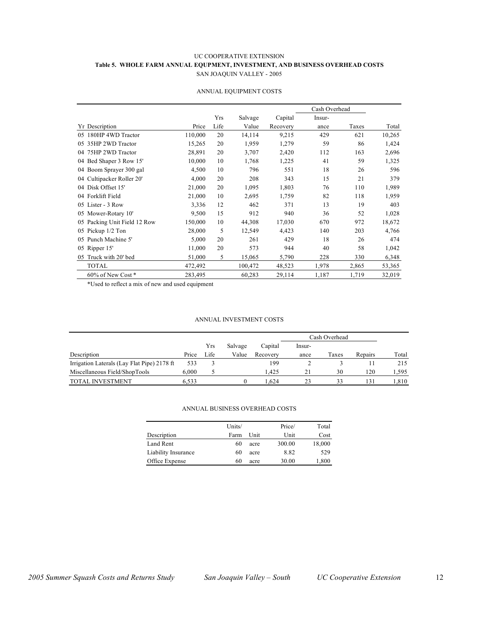#### UC COOPERATIVE EXTENSION **Table 5. WHOLE FARM ANNUAL EQUPMENT, INVESTMENT, AND BUSINESS OVERHEAD COSTS** SAN JOAQUIN VALLEY - 2005

|                              |         |      |         |          | Cash Overhead |       |        |
|------------------------------|---------|------|---------|----------|---------------|-------|--------|
|                              |         | Yrs  | Salvage | Capital  | Insur-        |       |        |
| <b>Yr</b> Description        | Price   | Life | Value   | Recovery | ance          | Taxes | Total  |
| 05 180HP 4WD Tractor         | 110,000 | 20   | 14,114  | 9,215    | 429           | 621   | 10,265 |
| 35HP 2WD Tractor<br>05.      | 15,265  | 20   | 1,959   | 1,279    | 59            | 86    | 1,424  |
| 75HP 2WD Tractor<br>04       | 28,891  | 20   | 3,707   | 2,420    | 112           | 163   | 2,696  |
| 04 Bed Shaper 3 Row 15'      | 10,000  | 10   | 1,768   | 1,225    | 41            | 59    | 1,325  |
| 04 Boom Sprayer 300 gal      | 4,500   | 10   | 796     | 551      | 18            | 26    | 596    |
| 04 Cultipacker Roller 20'    | 4,000   | 20   | 208     | 343      | 15            | 21    | 379    |
| 04 Disk Offset 15'           | 21,000  | 20   | 1,095   | 1,803    | 76            | 110   | 1,989  |
| 04 Forklift Field            | 21,000  | 10   | 2,695   | 1,759    | 82            | 118   | 1,959  |
| Lister - 3 Row<br>05.        | 3,336   | 12   | 462     | 371      | 13            | 19    | 403    |
| 05 Mower-Rotary 10'          | 9,500   | 15   | 912     | 940      | 36            | 52    | 1,028  |
| 05 Packing Unit Field 12 Row | 150,000 | 10   | 44,308  | 17,030   | 670           | 972   | 18,672 |
| 05 Pickup 1/2 Ton            | 28,000  | 5    | 12,549  | 4,423    | 140           | 203   | 4,766  |
| Punch Machine 5'<br>05.      | 5,000   | 20   | 261     | 429      | 18            | 26    | 474    |
| 05 Ripper 15'                | 11,000  | 20   | 573     | 944      | 40            | 58    | 1,042  |
| Truck with 20' bed<br>05     | 51,000  | 5    | 15,065  | 5,790    | 228           | 330   | 6,348  |
| TOTAL                        | 472,492 |      | 100,472 | 48,523   | 1,978         | 2,865 | 53,365 |
| 60% of New Cost *            | 283,495 |      | 60,283  | 29,114   | 1,187         | 1,719 | 32,019 |

#### ANNUAL EQUIPMENT COSTS

\*Used to reflect a mix of new and used equipment

#### ANNUAL INVESTMENT COSTS

|                                             |       |      |         |          | Cash Overhead |       |         |       |
|---------------------------------------------|-------|------|---------|----------|---------------|-------|---------|-------|
|                                             |       | Yrs  | Salvage | Capital  | -Insur        |       |         |       |
| Description                                 | Price | Life | Value   | Recovery | ance          | Taxes | Repairs | Total |
| Irrigation Laterals (Lay Flat Pipe) 2178 ft | 533   |      |         | 199      |               |       |         | 215   |
| Miscellaneous Field/ShopTools               | 6.000 |      |         | 1.425    | 21            | 30    | 120     | 1.595 |
| <b>TOTAL INVESTMENT</b>                     | 6.533 |      |         | 1.624    | 23            | 33    | 131     | 1.810 |

#### ANNUAL BUSINESS OVERHEAD COSTS

|                     | Units/ |      | Price/ | Total  |
|---------------------|--------|------|--------|--------|
| Description         | Farm   | Unit | Unit   | Cost   |
| Land Rent           | 60     | acre | 300.00 | 18,000 |
| Liability Insurance | 60     | acre | 8.82   | 529    |
| Office Expense      | 60     | acre | 30.00  | 1,800  |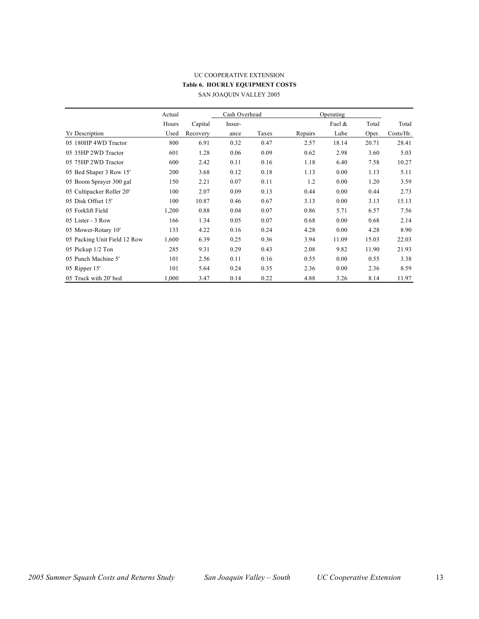### UC COOPERATIVE EXTENSION **Table 6. HOURLY EQUIPMENT COSTS** SAN JOAQUIN VALLEY 2005

|                              | Actual |          | Cash Overhead |       |         | Operating |       |           |
|------------------------------|--------|----------|---------------|-------|---------|-----------|-------|-----------|
|                              | Hours  | Capital  | Insur-        |       |         | Fuel $\&$ | Total | Total     |
| <b>Yr Description</b>        | Used   | Recovery | ance          | Taxes | Repairs | Lube      | Oper. | Costs/Hr. |
| 05 180HP 4WD Tractor         | 800    | 6.91     | 0.32          | 0.47  | 2.57    | 18.14     | 20.71 | 28.41     |
| 05 35HP 2WD Tractor          | 601    | 1.28     | 0.06          | 0.09  | 0.62    | 2.98      | 3.60  | 5.03      |
| 05 75HP 2WD Tractor          | 600    | 2.42     | 0.11          | 0.16  | 1.18    | 6.40      | 7.58  | 10.27     |
| 05 Bed Shaper 3 Row 15'      | 200    | 3.68     | 0.12          | 0.18  | 1.13    | 0.00      | 1.13  | 5.11      |
| 05 Boom Sprayer 300 gal      | 150    | 2.21     | 0.07          | 0.11  | 1.2     | 0.00      | 1.20  | 3.59      |
| 05 Cultipacker Roller 20'    | 100    | 2.07     | 0.09          | 0.13  | 0.44    | 0.00      | 0.44  | 2.73      |
| 05 Disk Offset 15'           | 100    | 10.87    | 0.46          | 0.67  | 3.13    | 0.00      | 3.13  | 15.13     |
| 05 Forklift Field            | 1,200  | 0.88     | 0.04          | 0.07  | 0.86    | 5.71      | 6.57  | 7.56      |
| 05 Lister - 3 Row            | 166    | 1.34     | 0.05          | 0.07  | 0.68    | 0.00      | 0.68  | 2.14      |
| 05 Mower-Rotary 10'          | 133    | 4.22     | 0.16          | 0.24  | 4.28    | 0.00      | 4.28  | 8.90      |
| 05 Packing Unit Field 12 Row | 1,600  | 6.39     | 0.25          | 0.36  | 3.94    | 11.09     | 15.03 | 22.03     |
| 05 Pickup 1/2 Ton            | 285    | 9.31     | 0.29          | 0.43  | 2.08    | 9.82      | 11.90 | 21.93     |
| 05 Punch Machine 5'          | 101    | 2.56     | 0.11          | 0.16  | 0.55    | 0.00      | 0.55  | 3.38      |
| 05 Ripper 15'                | 101    | 5.64     | 0.24          | 0.35  | 2.36    | 0.00      | 2.36  | 8.59      |
| 05 Truck with 20' bed        | 1,000  | 3.47     | 0.14          | 0.22  | 4.88    | 3.26      | 8.14  | 11.97     |